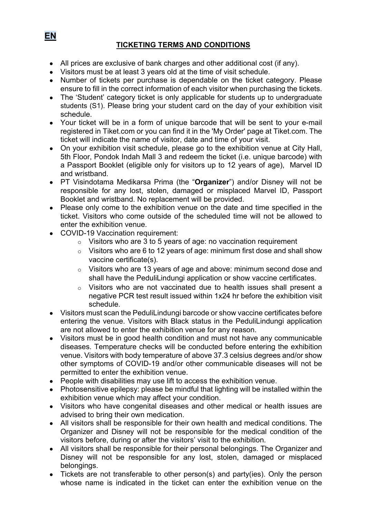# **TICKETING TERMS AND CONDITIONS**

- All prices are exclusive of bank charges and other additional cost (if any).
- Visitors must be at least 3 years old at the time of visit schedule.
- Number of tickets per purchase is dependable on the ticket category. Please ensure to fill in the correct information of each visitor when purchasing the tickets.
- The 'Student' category ticket is only applicable for students up to undergraduate students (S1). Please bring your student card on the day of your exhibition visit schedule.
- Your ticket will be in a form of unique barcode that will be sent to your e-mail registered in Tiket.com or you can find it in the 'My Order' page at Tiket.com. The ticket will indicate the name of visitor, date and time of your visit.
- On your exhibition visit schedule, please go to the exhibition venue at City Hall, 5th Floor, Pondok Indah Mall 3 and redeem the ticket (i.e. unique barcode) with a Passport Booklet (eligible only for visitors up to 12 years of age), Marvel ID and wristband.
- PT Visindotama Medikarsa Prima (the "**Organizer**") and/or Disney will not be responsible for any lost, stolen, damaged or misplaced Marvel ID, Passport Booklet and wristband. No replacement will be provided.
- Please only come to the exhibition venue on the date and time specified in the ticket. Visitors who come outside of the scheduled time will not be allowed to enter the exhibition venue.
- COVID-19 Vaccination requirement:
	- $\circ$  Visitors who are 3 to 5 years of age: no vaccination requirement
	- $\circ$  Visitors who are 6 to 12 years of age: minimum first dose and shall show vaccine certificate(s).
	- o Visitors who are 13 years of age and above: minimum second dose and shall have the PeduliLindungi application or show vaccine certificates.
	- o Visitors who are not vaccinated due to health issues shall present a negative PCR test result issued within 1x24 hr before the exhibition visit schedule.
- Visitors must scan the PeduliLindungi barcode or show vaccine certificates before entering the venue. Visitors with Black status in the PeduliLindungi application are not allowed to enter the exhibition venue for any reason.
- Visitors must be in good health condition and must not have any communicable diseases. Temperature checks will be conducted before entering the exhibition venue. Visitors with body temperature of above 37.3 celsius degrees and/or show other symptoms of COVID-19 and/or other communicable diseases will not be permitted to enter the exhibition venue.
- People with disabilities may use lift to access the exhibition venue.
- Photosensitive epilepsy: please be mindful that lighting will be installed within the exhibition venue which may affect your condition.
- Visitors who have congenital diseases and other medical or health issues are advised to bring their own medication.
- All visitors shall be responsible for their own health and medical conditions. The Organizer and Disney will not be responsible for the medical condition of the visitors before, during or after the visitors' visit to the exhibition.
- All visitors shall be responsible for their personal belongings. The Organizer and Disney will not be responsible for any lost, stolen, damaged or misplaced belongings.
- Tickets are not transferable to other person(s) and party(ies). Only the person whose name is indicated in the ticket can enter the exhibition venue on the

**EN**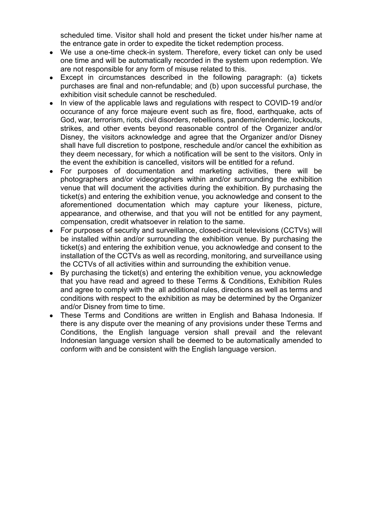scheduled time. Visitor shall hold and present the ticket under his/her name at the entrance gate in order to expedite the ticket redemption process.

- We use a one-time check-in system. Therefore, every ticket can only be used one time and will be automatically recorded in the system upon redemption. We are not responsible for any form of misuse related to this.
- Except in circumstances described in the following paragraph: (a) tickets purchases are final and non-refundable; and (b) upon successful purchase, the exhibition visit schedule cannot be rescheduled.
- In view of the applicable laws and regulations with respect to COVID-19 and/or occurance of any force majeure event such as fire, flood, earthquake, acts of God, war, terrorism, riots, civil disorders, rebellions, pandemic/endemic, lockouts, strikes, and other events beyond reasonable control of the Organizer and/or Disney, the visitors acknowledge and agree that the Organizer and/or Disney shall have full discretion to postpone, reschedule and/or cancel the exhibition as they deem necessary, for which a notification will be sent to the visitors. Only in the event the exhibition is cancelled, visitors will be entitled for a refund.
- For purposes of documentation and marketing activities, there will be photographers and/or videographers within and/or surrounding the exhibition venue that will document the activities during the exhibition. By purchasing the ticket(s) and entering the exhibition venue, you acknowledge and consent to the aforementioned documentation which may capture your likeness, picture, appearance, and otherwise, and that you will not be entitled for any payment, compensation, credit whatsoever in relation to the same.
- For purposes of security and surveillance, closed-circuit televisions (CCTVs) will be installed within and/or surrounding the exhibition venue. By purchasing the ticket(s) and entering the exhibition venue, you acknowledge and consent to the installation of the CCTVs as well as recording, monitoring, and surveillance using the CCTVs of all activities within and surrounding the exhibition venue.
- By purchasing the ticket(s) and entering the exhibition venue, you acknowledge that you have read and agreed to these Terms & Conditions, Exhibition Rules and agree to comply with the all additional rules, directions as well as terms and conditions with respect to the exhibition as may be determined by the Organizer and/or Disney from time to time.
- These Terms and Conditions are written in English and Bahasa Indonesia. If there is any dispute over the meaning of any provisions under these Terms and Conditions, the English language version shall prevail and the relevant Indonesian language version shall be deemed to be automatically amended to conform with and be consistent with the English language version.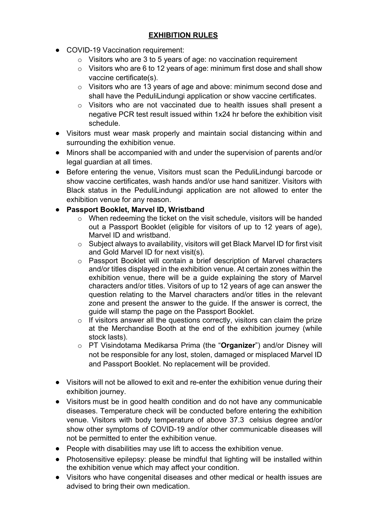# **EXHIBITION RULES**

- COVID-19 Vaccination requirement:
	- $\circ$  Visitors who are 3 to 5 years of age: no vaccination requirement
	- $\circ$  Visitors who are 6 to 12 years of age: minimum first dose and shall show vaccine certificate(s).
	- o Visitors who are 13 years of age and above: minimum second dose and shall have the PeduliLindungi application or show vaccine certificates.
	- $\circ$  Visitors who are not vaccinated due to health issues shall present a negative PCR test result issued within 1x24 hr before the exhibition visit schedule.
- Visitors must wear mask properly and maintain social distancing within and surrounding the exhibition venue.
- Minors shall be accompanied with and under the supervision of parents and/or legal guardian at all times.
- Before entering the venue, Visitors must scan the PeduliLindungi barcode or show vaccine certificates, wash hands and/or use hand sanitizer. Visitors with Black status in the PeduliLindungi application are not allowed to enter the exhibition venue for any reason.

#### ● **Passport Booklet, Marvel ID, Wristband**

- o When redeeming the ticket on the visit schedule, visitors will be handed out a Passport Booklet (eligible for visitors of up to 12 years of age), Marvel ID and wristband.
- o Subject always to availability, visitors will get Black Marvel ID for first visit and Gold Marvel ID for next visit(s).
- o Passport Booklet will contain a brief description of Marvel characters and/or titles displayed in the exhibition venue. At certain zones within the exhibition venue, there will be a guide explaining the story of Marvel characters and/or titles. Visitors of up to 12 years of age can answer the question relating to the Marvel characters and/or titles in the relevant zone and present the answer to the guide. If the answer is correct, the guide will stamp the page on the Passport Booklet.
- $\circ$  If visitors answer all the questions correctly, visitors can claim the prize at the Merchandise Booth at the end of the exhibition journey (while stock lasts).
- o PT Visindotama Medikarsa Prima (the "**Organizer**") and/or Disney will not be responsible for any lost, stolen, damaged or misplaced Marvel ID and Passport Booklet. No replacement will be provided.
- Visitors will not be allowed to exit and re-enter the exhibition venue during their exhibition journey.
- Visitors must be in good health condition and do not have any communicable diseases. Temperature check will be conducted before entering the exhibition venue. Visitors with body temperature of above 37.3 celsius degree and/or show other symptoms of COVID-19 and/or other communicable diseases will not be permitted to enter the exhibition venue.
- People with disabilities may use lift to access the exhibition venue.
- Photosensitive epilepsy: please be mindful that lighting will be installed within the exhibition venue which may affect your condition.
- Visitors who have congenital diseases and other medical or health issues are advised to bring their own medication.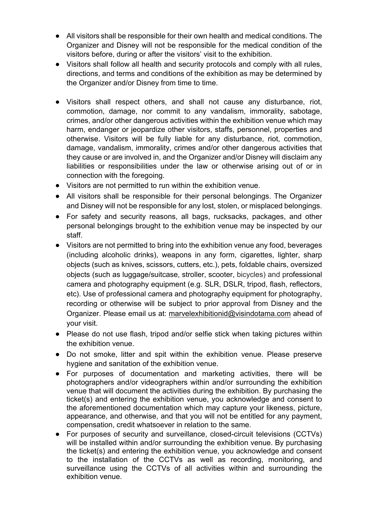- All visitors shall be responsible for their own health and medical conditions. The Organizer and Disney will not be responsible for the medical condition of the visitors before, during or after the visitors' visit to the exhibition.
- Visitors shall follow all health and security protocols and comply with all rules, directions, and terms and conditions of the exhibition as may be determined by the Organizer and/or Disney from time to time.
- Visitors shall respect others, and shall not cause any disturbance, riot, commotion, damage, nor commit to any vandalism, immorality, sabotage, crimes, and/or other dangerous activities within the exhibition venue which may harm, endanger or jeopardize other visitors, staffs, personnel, properties and otherwise. Visitors will be fully liable for any disturbance, riot, commotion, damage, vandalism, immorality, crimes and/or other dangerous activities that they cause or are involved in, and the Organizer and/or Disney will disclaim any liabilities or responsibilities under the law or otherwise arising out of or in connection with the foregoing.
- Visitors are not permitted to run within the exhibition venue.
- All visitors shall be responsible for their personal belongings. The Organizer and Disney will not be responsible for any lost, stolen, or misplaced belongings.
- For safety and security reasons, all bags, rucksacks, packages, and other personal belongings brought to the exhibition venue may be inspected by our staff.
- Visitors are not permitted to bring into the exhibition venue any food, beverages (including alcoholic drinks), weapons in any form, cigarettes, lighter, sharp objects (such as knives, scissors, cutters, etc.), pets, foldable chairs, oversized objects (such as luggage/suitcase, stroller, scooter, bicycles) and professional camera and photography equipment (e.g. SLR, DSLR, tripod, flash, reflectors, etc). Use of professional camera and photography equipment for photography, recording or otherwise will be subject to prior approval from Disney and the Organizer. Please email us at: marvelexhibitionid@visindotama.com ahead of your visit.
- Please do not use flash, tripod and/or selfie stick when taking pictures within the exhibition venue.
- Do not smoke, litter and spit within the exhibition venue. Please preserve hygiene and sanitation of the exhibition venue.
- For purposes of documentation and marketing activities, there will be photographers and/or videographers within and/or surrounding the exhibition venue that will document the activities during the exhibition. By purchasing the ticket(s) and entering the exhibition venue, you acknowledge and consent to the aforementioned documentation which may capture your likeness, picture, appearance, and otherwise, and that you will not be entitled for any payment, compensation, credit whatsoever in relation to the same.
- For purposes of security and surveillance, closed-circuit televisions (CCTVs) will be installed within and/or surrounding the exhibition venue. By purchasing the ticket(s) and entering the exhibition venue, you acknowledge and consent to the installation of the CCTVs as well as recording, monitoring, and surveillance using the CCTVs of all activities within and surrounding the exhibition venue.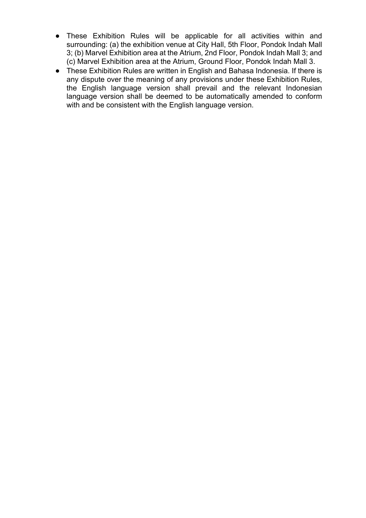- These Exhibition Rules will be applicable for all activities within and surrounding: (a) the exhibition venue at City Hall, 5th Floor, Pondok Indah Mall 3; (b) Marvel Exhibition area at the Atrium, 2nd Floor, Pondok Indah Mall 3; and (c) Marvel Exhibition area at the Atrium, Ground Floor, Pondok Indah Mall 3.
- These Exhibition Rules are written in English and Bahasa Indonesia. If there is any dispute over the meaning of any provisions under these Exhibition Rules, the English language version shall prevail and the relevant Indonesian language version shall be deemed to be automatically amended to conform with and be consistent with the English language version.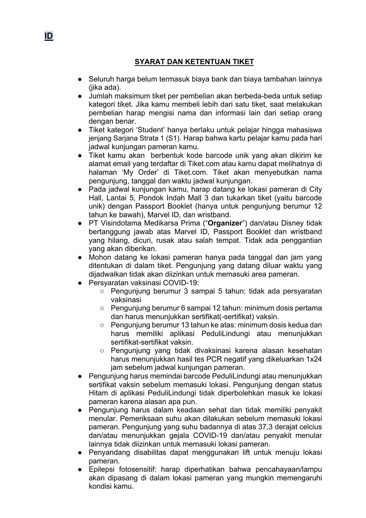# **SYARAT DAN KETENTUAN TIKET**

- Seluruh harga belum termasuk biaya bank dan biaya tambahan lainnya (jika ada).
- Jumlah maksimum tiket per pembelian akan berbeda-beda untuk setiap kategori tiket. Jika kamu membeli lebih dari satu tiket, saat melakukan pembelian harap mengisi nama dan informasi lain dari setiap orang dengan benar.
- Tiket kategori 'Student' hanya berlaku untuk pelajar hingga mahasiswa jenjang Sarjana Strata 1 (S1). Harap bahwa kartu pelajar kamu pada hari jadwal kunjungan pameran kamu.
- Tiket kamu akan berbentuk kode barcode unik yang akan dikirim ke alamat email yang terdaftar di Tiket.com atau kamu dapat melihatnya di halaman 'My Order' di Tiket.com. Tiket akan menyebutkan nama pengunjung, tanggal dan waktu jadwal kunjungan.
- Pada jadwal kunjungan kamu, harap datang ke lokasi pameran di City Hall, Lantai 5, Pondok Indah Mall 3 dan tukarkan tiket (yaitu barcode unik) dengan Passport Booklet (hanya untuk pengunjung berumur 12 tahun ke bawah), Marvel ID, dan wristband.
- PT Visindotama Medikarsa Prima ("**Organizer**") dan/atau Disney tidak bertanggung jawab atas Marvel ID, Passport Booklet dan wristband yang hilang, dicuri, rusak atau salah tempat. Tidak ada penggantian yang akan diberikan.
- Mohon datang ke lokasi pameran hanya pada tanggal dan jam yang ditentukan di dalam tiket. Pengunjung yang datang diluar waktu yang dijadwalkan tidak akan diizinkan untuk memasuki area pameran.
- Persvaratan vaksinasi COVID-19:
	- Pengunjung berumur 3 sampai 5 tahun: tidak ada persyaratan vaksinasi
	- Pengunjung berumur 6 sampai 12 tahun: minimum dosis pertama dan harus menunjukkan sertifikat(-sertifikat) vaksin.
	- Pengunjung berumur 13 tahun ke atas: minimum dosis kedua dan harus memiliki aplikasi PeduliLindungi atau menunjukkan sertifikat-sertifikat vaksin.
	- Pengunjung yang tidak divaksinasi karena alasan kesehatan harus menunjukkan hasil tes PCR negatif yang dikeluarkan 1x24 jam sebelum jadwal kunjungan pameran.
- Pengunjung harus memindai barcode PeduliLindungi atau menunjukkan sertifikat vaksin sebelum memasuki lokasi. Pengunjung dengan status Hitam di aplikasi PeduliLindungi tidak diperbolehkan masuk ke lokasi pameran karena alasan apa pun.
- Pengunjung harus dalam keadaan sehat dan tidak memiliki penyakit menular. Pemeriksaan suhu akan dilakukan sebelum memasuki lokasi pameran. Pengunjung yang suhu badannya di atas 37,3 derajat celcius dan/atau menunjukkan gejala COVID-19 dan/atau penyakit menular lainnya tidak diizinkan untuk memasuki lokasi pameran.
- Penyandang disabilitas dapat menggunakan lift untuk menuju lokasi pameran.
- Epilepsi fotosensitif: harap diperhatikan bahwa pencahayaan/lampu akan dipasang di dalam lokasi pameran yang mungkin memengaruhi kondisi kamu.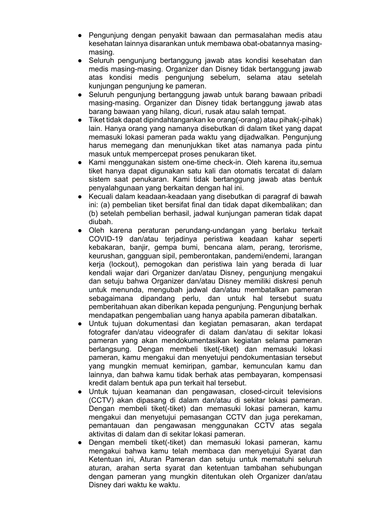- Pengunjung dengan penyakit bawaan dan permasalahan medis atau kesehatan lainnya disarankan untuk membawa obat-obatannya masingmasing.
- Seluruh pengunjung bertanggung jawab atas kondisi kesehatan dan medis masing-masing. Organizer dan Disney tidak bertanggung jawab atas kondisi medis pengunjung sebelum, selama atau setelah kunjungan pengunjung ke pameran.
- Seluruh pengunjung bertanggung jawab untuk barang bawaan pribadi masing-masing. Organizer dan Disney tidak bertanggung jawab atas barang bawaan yang hilang, dicuri, rusak atau salah tempat.
- Tiket tidak dapat dipindahtangankan ke orang(-orang) atau pihak(-pihak) lain. Hanya orang yang namanya disebutkan di dalam tiket yang dapat memasuki lokasi pameran pada waktu yang dijadwalkan. Pengunjung harus memegang dan menunjukkan tiket atas namanya pada pintu masuk untuk mempercepat proses penukaran tiket.
- Kami menggunakan sistem one-time check-in. Oleh karena itu, semua tiket hanya dapat digunakan satu kali dan otomatis tercatat di dalam sistem saat penukaran. Kami tidak bertanggung jawab atas bentuk penyalahgunaan yang berkaitan dengan hal ini.
- Kecuali dalam keadaan-keadaan yang disebutkan di paragraf di bawah ini: (a) pembelian tiket bersifat final dan tidak dapat dikembalikan; dan (b) setelah pembelian berhasil, jadwal kunjungan pameran tidak dapat diubah.
- Oleh karena peraturan perundang-undangan yang berlaku terkait COVID-19 dan/atau terjadinya peristiwa keadaan kahar seperti kebakaran, banjir, gempa bumi, bencana alam, perang, terorisme, keurushan, gangguan sipil, pemberontakan, pandemi/endemi, larangan kerja (lockout), pemogokan dan peristiwa lain yang berada di luar kendali wajar dari Organizer dan/atau Disney, pengunjung mengakui dan setuju bahwa Organizer dan/atau Disney memiliki diskresi penuh untuk menunda, mengubah jadwal dan/atau membatalkan pameran sebagaimana dipandang perlu, dan untuk hal tersebut suatu pemberitahuan akan diberikan kepada pengunjung. Pengunjung berhak mendapatkan pengembalian uang hanya apabila pameran dibatalkan.
- Untuk tujuan dokumentasi dan kegiatan pemasaran, akan terdapat fotografer dan/atau videografer di dalam dan/atau di sekitar lokasi pameran yang akan mendokumentasikan kegiatan selama pameran berlangsung. Dengan membeli tiket(-tiket) dan memasuki lokasi pameran, kamu mengakui dan menyetujui pendokumentasian tersebut yang mungkin memuat kemiripan, gambar, kemunculan kamu dan lainnya, dan bahwa kamu tidak berhak atas pembayaran, kompensasi kredit dalam bentuk apa pun terkait hal tersebut.
- Untuk tujuan keamanan dan pengawasan, closed-circuit televisions (CCTV) akan dipasang di dalam dan/atau di sekitar lokasi pameran. Dengan membeli tiket(-tiket) dan memasuki lokasi pameran, kamu mengakui dan menyetujui pemasangan CCTV dan juga perekaman, pemantauan dan pengawasan menggunakan CCTV atas segala aktivitas di dalam dan di sekitar lokasi pameran.
- Dengan membeli tiket(-tiket) dan memasuki lokasi pameran, kamu mengakui bahwa kamu telah membaca dan menyetujui Syarat dan Ketentuan ini, Aturan Pameran dan setuju untuk mematuhi seluruh aturan, arahan serta syarat dan ketentuan tambahan sehubungan dengan pameran yang mungkin ditentukan oleh Organizer dan/atau Disney dari waktu ke waktu.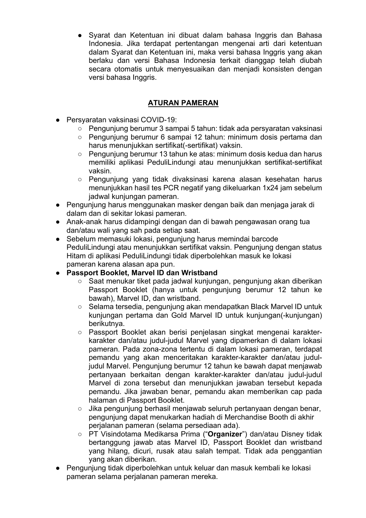● Syarat dan Ketentuan ini dibuat dalam bahasa Inggris dan Bahasa Indonesia. Jika terdapat pertentangan mengenai arti dari ketentuan dalam Syarat dan Ketentuan ini, maka versi bahasa Inggris yang akan berlaku dan versi Bahasa Indonesia terkait dianggap telah diubah secara otomatis untuk menyesuaikan dan menjadi konsisten dengan versi bahasa Inggris.

### **ATURAN PAMERAN**

- Persyaratan vaksinasi COVID-19:
	- Pengunjung berumur 3 sampai 5 tahun: tidak ada persyaratan vaksinasi
	- Pengunjung berumur 6 sampai 12 tahun: minimum dosis pertama dan harus menunjukkan sertifikat(-sertifikat) vaksin.
	- Penguniung berumur 13 tahun ke atas: minimum dosis kedua dan harus memiliki aplikasi PeduliLindungi atau menunjukkan sertifikat-sertifikat vaksin.
	- Penguniung yang tidak divaksinasi karena alasan kesehatan harus menunjukkan hasil tes PCR negatif yang dikeluarkan 1x24 jam sebelum jadwal kunjungan pameran.
- Pengunjung harus menggunakan masker dengan baik dan menjaga jarak di dalam dan di sekitar lokasi pameran.
- Anak-anak harus didampingi dengan dan di bawah pengawasan orang tua dan/atau wali yang sah pada setiap saat.
- Sebelum memasuki lokasi, pengunjung harus memindai barcode PeduliLindungi atau menunjukkan sertifikat vaksin. Pengunjung dengan status Hitam di aplikasi PeduliLindungi tidak diperbolehkan masuk ke lokasi pameran karena alasan apa pun.
- **Passport Booklet, Marvel ID dan Wristband**
	- Saat menukar tiket pada jadwal kunjungan, pengunjung akan diberikan Passport Booklet (hanya untuk pengunjung berumur 12 tahun ke bawah), Marvel ID, dan wristband.
	- $\circ$  Selama tersedia, pengunjung akan mendapatkan Black Marvel ID untuk kunjungan pertama dan Gold Marvel ID untuk kunjungan(-kunjungan) berikutnya.
	- Passport Booklet akan berisi penjelasan singkat mengenai karakterkarakter dan/atau judul-judul Marvel yang dipamerkan di dalam lokasi pameran. Pada zona-zona tertentu di dalam lokasi pameran, terdapat pemandu yang akan menceritakan karakter-karakter dan/atau juduljudul Marvel. Pengunjung berumur 12 tahun ke bawah dapat menjawab pertanyaan berkaitan dengan karakter-karakter dan/atau judul-judul Marvel di zona tersebut dan menunjukkan jawaban tersebut kepada pemandu. Jika jawaban benar, pemandu akan memberikan cap pada halaman di Passport Booklet.
	- Jika pengunjung berhasil menjawab seluruh pertanyaan dengan benar, pengunjung dapat menukarkan hadiah di Merchandise Booth di akhir perjalanan pameran (selama persediaan ada).
	- PT Visindotama Medikarsa Prima ("**Organizer**") dan/atau Disney tidak bertanggung jawab atas Marvel ID, Passport Booklet dan wristband yang hilang, dicuri, rusak atau salah tempat. Tidak ada penggantian yang akan diberikan.
- Pengunjung tidak diperbolehkan untuk keluar dan masuk kembali ke lokasi pameran selama perjalanan pameran mereka.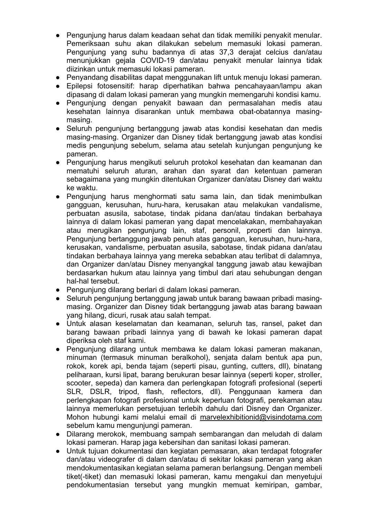- Pengunjung harus dalam keadaan sehat dan tidak memiliki penyakit menular. Pemeriksaan suhu akan dilakukan sebelum memasuki lokasi pameran. Pengunjung yang suhu badannya di atas 37,3 derajat celcius dan/atau menunjukkan gejala COVID-19 dan/atau penyakit menular lainnya tidak diizinkan untuk memasuki lokasi pameran.
- Penyandang disabilitas dapat menggunakan lift untuk menuju lokasi pameran.
- Epilepsi fotosensitif: harap diperhatikan bahwa pencahayaan/lampu akan dipasang di dalam lokasi pameran yang mungkin memengaruhi kondisi kamu.
- Pengunjung dengan penyakit bawaan dan permasalahan medis atau kesehatan lainnya disarankan untuk membawa obat-obatannya masingmasing.
- Seluruh pengunjung bertanggung jawab atas kondisi kesehatan dan medis masing-masing. Organizer dan Disney tidak bertanggung jawab atas kondisi medis pengunjung sebelum, selama atau setelah kunjungan pengunjung ke pameran.
- Pengunjung harus mengikuti seluruh protokol kesehatan dan keamanan dan mematuhi seluruh aturan, arahan dan syarat dan ketentuan pameran sebagaimana yang mungkin ditentukan Organizer dan/atau Disney dari waktu ke waktu.
- Pengunjung harus menghormati satu sama lain, dan tidak menimbulkan gangguan, kerusuhan, huru-hara, kerusakan atau melakukan vandalisme, perbuatan asusila, sabotase, tindak pidana dan/atau tindakan berbahaya lainnya di dalam lokasi pameran yang dapat mencelakakan, membahayakan atau merugikan pengunjung lain, staf, personil, properti dan lainnya. Pengunjung bertanggung jawab penuh atas gangguan, kerusuhan, huru-hara, kerusakan, vandalisme, perbuatan asusila, sabotase, tindak pidana dan/atau tindakan berbahaya lainnya yang mereka sebabkan atau terlibat di dalamnya, dan Organizer dan/atau Disney menyangkal tanggung jawab atau kewajiban berdasarkan hukum atau lainnya yang timbul dari atau sehubungan dengan hal-hal tersebut.
- Pengunjung dilarang berlari di dalam lokasi pameran.
- Seluruh pengunjung bertanggung jawab untuk barang bawaan pribadi masingmasing. Organizer dan Disney tidak bertanggung jawab atas barang bawaan yang hilang, dicuri, rusak atau salah tempat.
- Untuk alasan keselamatan dan keamanan, seluruh tas, ransel, paket dan barang bawaan pribadi lainnya yang di bawah ke lokasi pameran dapat diperiksa oleh staf kami.
- Pengunjung dilarang untuk membawa ke dalam lokasi pameran makanan, minuman (termasuk minuman beralkohol), senjata dalam bentuk apa pun, rokok, korek api, benda tajam (seperti pisau, gunting, cutters, dll), binatang peliharaan, kursi lipat, barang berukuran besar lainnya (seperti koper, stroller, scooter, sepeda) dan kamera dan perlengkapan fotografi profesional (seperti SLR, DSLR, tripod, flash, reflectors, dll). Penggunaan kamera dan perlengkapan fotografi profesional untuk keperluan fotografi, perekaman atau lainnya memerlukan persetujuan terlebih dahulu dari Disney dan Organizer. Mohon hubungi kami melalui email di marvelexhibitionid@visindotama.com sebelum kamu mengunjungi pameran.
- Dilarang merokok, membuang sampah sembarangan dan meludah di dalam lokasi pameran. Harap jaga kebersihan dan sanitasi lokasi pameran.
- Untuk tujuan dokumentasi dan kegiatan pemasaran, akan terdapat fotografer dan/atau videografer di dalam dan/atau di sekitar lokasi pameran yang akan mendokumentasikan kegiatan selama pameran berlangsung. Dengan membeli tiket(-tiket) dan memasuki lokasi pameran, kamu mengakui dan menyetujui pendokumentasian tersebut yang mungkin memuat kemiripan, gambar,